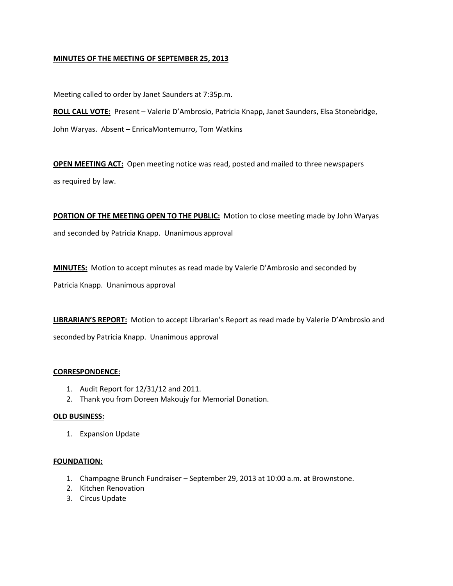## **MINUTES OF THE MEETING OF SEPTEMBER 25, 2013**

Meeting called to order by Janet Saunders at 7:35p.m.

**ROLL CALL VOTE:** Present – Valerie D'Ambrosio, Patricia Knapp, Janet Saunders, Elsa Stonebridge, John Waryas. Absent – EnricaMontemurro, Tom Watkins

**OPEN MEETING ACT:** Open meeting notice was read, posted and mailed to three newspapers as required by law.

**PORTION OF THE MEETING OPEN TO THE PUBLIC:** Motion to close meeting made by John Waryas and seconded by Patricia Knapp. Unanimous approval

**MINUTES:** Motion to accept minutes as read made by Valerie D'Ambrosio and seconded by

Patricia Knapp. Unanimous approval

**LIBRARIAN'S REPORT:** Motion to accept Librarian's Report as read made by Valerie D'Ambrosio and

seconded by Patricia Knapp. Unanimous approval

#### **CORRESPONDENCE:**

- 1. Audit Report for 12/31/12 and 2011.
- 2. Thank you from Doreen Makoujy for Memorial Donation.

#### **OLD BUSINESS:**

1. Expansion Update

# **FOUNDATION:**

- 1. Champagne Brunch Fundraiser September 29, 2013 at 10:00 a.m. at Brownstone.
- 2. Kitchen Renovation
- 3. Circus Update